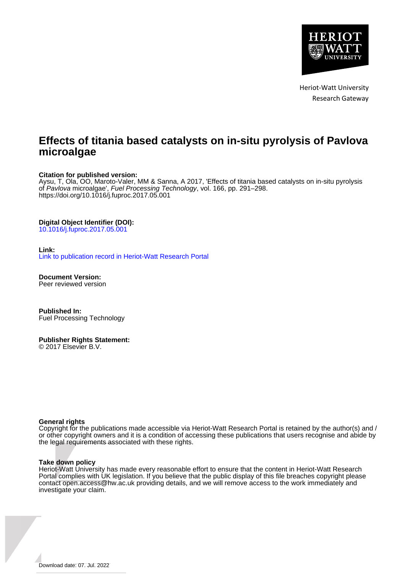

Heriot-Watt University Research Gateway

## **Effects of titania based catalysts on in-situ pyrolysis of Pavlova microalgae**

#### **Citation for published version:**

Aysu, T, Ola, OO, Maroto-Valer, MM & Sanna, A 2017, 'Effects of titania based catalysts on in-situ pyrolysis of Pavlova microalgae', Fuel Processing Technology, vol. 166, pp. 291–298. <https://doi.org/10.1016/j.fuproc.2017.05.001>

#### **Digital Object Identifier (DOI):**

[10.1016/j.fuproc.2017.05.001](https://doi.org/10.1016/j.fuproc.2017.05.001)

#### **Link:**

[Link to publication record in Heriot-Watt Research Portal](https://researchportal.hw.ac.uk/en/publications/fae15cc7-9157-4a39-9132-5f1c9dd9e678)

**Document Version:** Peer reviewed version

**Published In:** Fuel Processing Technology

#### **Publisher Rights Statement:** © 2017 Elsevier B.V.

#### **General rights**

Copyright for the publications made accessible via Heriot-Watt Research Portal is retained by the author(s) and / or other copyright owners and it is a condition of accessing these publications that users recognise and abide by the legal requirements associated with these rights.

#### **Take down policy**

Heriot-Watt University has made every reasonable effort to ensure that the content in Heriot-Watt Research Portal complies with UK legislation. If you believe that the public display of this file breaches copyright please contact open.access@hw.ac.uk providing details, and we will remove access to the work immediately and investigate your claim.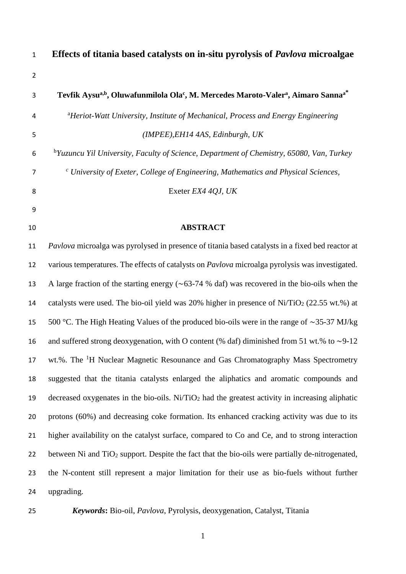| $\mathbf{1}$   | Effects of titania based catalysts on in-situ pyrolysis of <i>Pavlova</i> microalgae                                              |
|----------------|-----------------------------------------------------------------------------------------------------------------------------------|
| $\overline{2}$ |                                                                                                                                   |
| 3              | Tevfik Aysu <sup>a,b</sup> , Oluwafunmilola Ola <sup>c</sup> , M. Mercedes Maroto-Valer <sup>a</sup> , Aimaro Sanna <sup>a*</sup> |
| $\overline{4}$ | <sup>a</sup> Heriot-Watt University, Institute of Mechanical, Process and Energy Engineering                                      |
| 5              | (IMPEE), EH14 4AS, Edinburgh, UK                                                                                                  |
| 6              | <sup>b</sup> Yuzuncu Yil University, Faculty of Science, Department of Chemistry, 65080, Van, Turkey                              |
| 7              | $\degree$ University of Exeter, College of Engineering, Mathematics and Physical Sciences,                                        |
| 8              | Exeter EX4 4QJ, UK                                                                                                                |
| 9              |                                                                                                                                   |
| 10             | <b>ABSTRACT</b>                                                                                                                   |

# *Pavlova* microalga was pyrolysed in presence of titania based catalysts in a fixed bed reactor at various temperatures. The effects of catalysts on *Pavlova* microalga pyrolysis was investigated. A large fraction of the starting energy (∼63-74 % daf) was recovered in the bio-oils when the 14 catalysts were used. The bio-oil yield was 20% higher in presence of Ni/TiO<sub>2</sub> (22.55 wt.%) at 500 °C. The High Heating Values of the produced bio-oils were in the range of ∼35-37 MJ/kg and suffered strong deoxygenation, with O content (% daf) diminished from 51 wt.% to ∼9-12 17 wt.%. The <sup>1</sup>H Nuclear Magnetic Resounance and Gas Chromatography Mass Spectrometry suggested that the titania catalysts enlarged the aliphatics and aromatic compounds and 19 decreased oxygenates in the bio-oils. Ni/TiO<sub>2</sub> had the greatest activity in increasing aliphatic protons (60%) and decreasing coke formation. Its enhanced cracking activity was due to its higher availability on the catalyst surface, compared to Co and Ce, and to strong interaction 22 between Ni and  $TiO<sub>2</sub>$  support. Despite the fact that the bio-oils were partially de-nitrogenated, the N-content still represent a major limitation for their use as bio-fuels without further upgrading.

*Keywords***:** Bio-oil, *Pavlova*, Pyrolysis, deoxygenation, Catalyst, Titania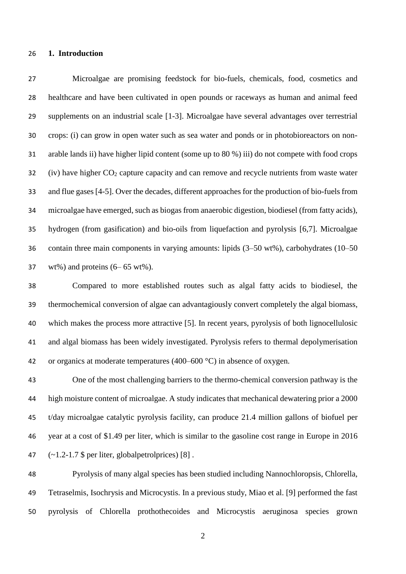#### **1. Introduction**

 Microalgae are promising feedstock for bio-fuels, chemicals, food, cosmetics and healthcare and have been cultivated in open pounds or raceways as human and animal feed supplements on an industrial scale [1-3]. Microalgae have several advantages over terrestrial crops: (i) can grow in open water such as sea water and ponds or in photobioreactors on non- arable lands ii) have higher lipid content (some up to 80 %) iii) do not compete with food crops (iv) have higher  $CO<sub>2</sub>$  capture capacity and can remove and recycle nutrients from waste water and flue gases [4-5]. Over the decades, different approaches for the production of bio-fuels from microalgae have emerged, such as biogas from anaerobic digestion, biodiesel (from fatty acids), hydrogen (from gasification) and bio-oils from liquefaction and pyrolysis [6,7]. Microalgae contain three main components in varying amounts: lipids (3–50 wt%), carbohydrates (10–50  $37 \text{ wt\%}$ ) and proteins  $(6-65 \text{ wt\%})$ .

 Compared to more established routes such as algal fatty acids to biodiesel, the thermochemical conversion of algae can advantagiously convert completely the algal biomass, which makes the process more attractive [5]. In recent years, pyrolysis of both lignocellulosic and algal biomass has been widely investigated. Pyrolysis refers to thermal depolymerisation 42 or organics at moderate temperatures  $(400-600 \degree C)$  in absence of oxygen.

 One of the most challenging barriers to the thermo-chemical conversion pathway is the high moisture content of microalgae. A study indicates that mechanical dewatering prior a 2000 t/day microalgae catalytic pyrolysis facility, can produce 21.4 million gallons of biofuel per year at a cost of \$1.49 per liter, which is similar to the gasoline cost range in Europe in 2016  $(-1.2-1.7 \text{ } $ per liter, globalpetrolprices) [8]$ .

 Pyrolysis of many algal species has been studied including Nannochloropsis, Chlorella, Tetraselmis, Isochrysis and Microcystis. In a previous study, Miao et al. [9] performed the fast pyrolysis of Chlorella prothothecoides and Microcystis aeruginosa species grown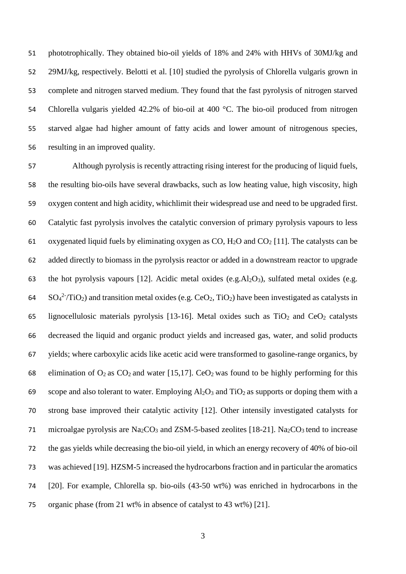phototrophically. They obtained bio-oil yields of 18% and 24% with HHVs of 30MJ/kg and 29MJ/kg, respectively. Belotti et al. [10] studied the pyrolysis of Chlorella vulgaris grown in complete and nitrogen starved medium. They found that the fast pyrolysis of nitrogen starved 54 Chlorella vulgaris yielded 42.2% of bio-oil at 400 °C. The bio-oil produced from nitrogen starved algae had higher amount of fatty acids and lower amount of nitrogenous species, resulting in an improved quality.

 Although pyrolysis is recently attracting rising interest for the producing of liquid fuels, the resulting bio-oils have several drawbacks, such as low heating value, high viscosity, high oxygen content and high acidity, whichlimit their widespread use and need to be upgraded first. Catalytic fast pyrolysis involves the catalytic conversion of primary pyrolysis vapours to less 61 oxygenated liquid fuels by eliminating oxygen as  $CO$ ,  $H_2O$  and  $CO_2$  [11]. The catalysts can be added directly to biomass in the pyrolysis reactor or added in a downstream reactor to upgrade 63 the hot pyrolysis vapours [12]. Acidic metal oxides (e.g.  $Al_2O_3$ ), sulfated metal oxides (e.g.  $SO_4^2$ <sup>-</sup>/TiO<sub>2</sub>) and transition metal oxides (e.g. CeO<sub>2</sub>, TiO<sub>2</sub>) have been investigated as catalysts in 65 lignocellulosic materials pyrolysis [13-16]. Metal oxides such as  $TiO<sub>2</sub>$  and  $CeO<sub>2</sub>$  catalysts decreased the liquid and organic product yields and increased gas, water, and solid products yields; where carboxylic acids like acetic acid were transformed to gasoline-range organics, by 68 elimination of  $O_2$  as  $CO_2$  and water [15,17]. Ce $O_2$  was found to be highly performing for this 69 scope and also tolerant to water. Employing  $Al_2O_3$  and  $TiO_2$  as supports or doping them with a strong base improved their catalytic activity [12]. Other intensily investigated catalysts for 71 microalgae pyrolysis are  $Na_2CO_3$  and ZSM-5-based zeolites [18-21]. Na<sub>2</sub>CO<sub>3</sub> tend to increase the gas yields while decreasing the bio-oil yield, in which an energy recovery of 40% of bio-oil was achieved [19]. HZSM-5 increased the hydrocarbons fraction and in particular the aromatics [20]. For example, Chlorella sp. bio-oils (43-50 wt%) was enriched in hydrocarbons in the organic phase (from 21 wt% in absence of catalyst to 43 wt%) [21].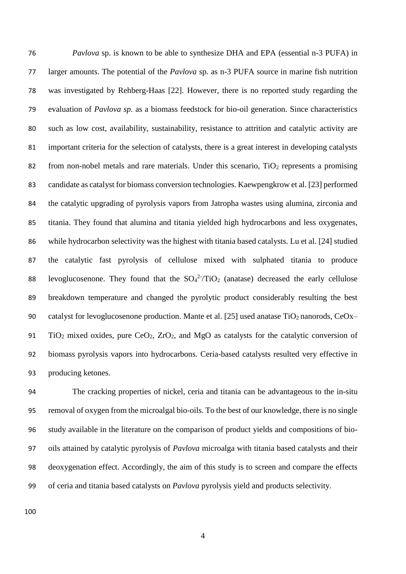*Pavlova* sp. is known to be able to synthesize DHA and EPA (essential n-3 PUFA) in larger amounts. The potential of the *Pavlova* sp. as n-3 PUFA source in marine fish nutrition was investigated by Rehberg-Haas [22]. However, there is no reported study regarding the evaluation of *Pavlova sp.* as a biomass feedstock for bio-oil generation. Since characteristics such as low cost, availability, sustainability, resistance to attrition and catalytic activity are important criteria for the selection of catalysts, there is a great interest in developing catalysts 82 from non-nobel metals and rare materials. Under this scenario,  $TiO<sub>2</sub>$  represents a promising candidate as catalyst for biomass conversion technologies. Kaewpengkrow et al. [23] performed the catalytic upgrading of pyrolysis vapors from Jatropha wastes using alumina, zirconia and titania. They found that alumina and titania yielded high hydrocarbons and less oxygenates, while hydrocarbon selectivity was the highest with titania based catalysts. Lu et al. [24] studied the catalytic fast pyrolysis of cellulose mixed with sulphated titania to produce 88 levoglucosenone. They found that the  $SO_4^2$ -TiO<sub>2</sub> (anatase) decreased the early cellulose breakdown temperature and changed the pyrolytic product considerably resulting the best 90 catalyst for levoglucosenone production. Mante et al. [25] used anatase  $TiO<sub>2</sub>$  nanorods, CeOx– 91 TiO<sub>2</sub> mixed oxides, pure CeO<sub>2</sub>,  $ZrO_2$ , and MgO as catalysts for the catalytic conversion of biomass pyrolysis vapors into hydrocarbons. Ceria-based catalysts resulted very effective in producing ketones.

 The cracking properties of nickel, ceria and titania can be advantageous to the in-situ removal of oxygen from the microalgal bio-oils. To the best of our knowledge, there is no single study available in the literature on the comparison of product yields and compositions of bio- oils attained by catalytic pyrolysis of *Pavlova* microalga with titania based catalysts and their deoxygenation effect. Accordingly, the aim of this study is to screen and compare the effects of ceria and titania based catalysts on *Pavlova* pyrolysis yield and products selectivity.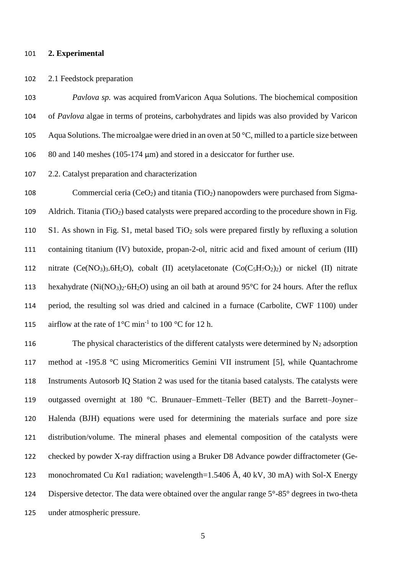#### **2. Experimental**

### 2.1 Feedstock preparation

 *Pavlova sp.* was acquired fromVaricon Aqua Solutions. The biochemical composition of *Pavlova* algae in terms of proteins, carbohydrates and lipids was also provided by Varicon Aqua Solutions. The microalgae were dried in an oven at 50 °C, milled to a particle size between 80 and 140 meshes (105-174 μm) and stored in a desiccator for further use.

2.2. Catalyst preparation and characterization

108 Commercial ceria (CeO<sub>2</sub>) and titania (TiO<sub>2</sub>) nanopowders were purchased from Sigma-109 Aldrich. Titania (TiO<sub>2</sub>) based catalysts were prepared according to the procedure shown in Fig. 110 S1. As shown in Fig. S1, metal based  $TiO<sub>2</sub>$  sols were prepared firstly by refluxing a solution containing titanium (IV) butoxide, propan-2-ol, nitric acid and fixed amount of cerium (III) 112 nitrate  $(Ce(NO_3)_3.6H_2O)$ , cobalt (II) acetylacetonate  $(Co(C_5H_7O_2)_2)$  or nickel (II) nitrate 113 hexahydrate (Ni(NO<sub>3</sub>)<sub>2</sub>·6H<sub>2</sub>O) using an oil bath at around 95<sup>o</sup>C for 24 hours. After the reflux period, the resulting sol was dried and calcined in a furnace (Carbolite, CWF 1100) under 115 airflow at the rate of  $1^{\circ}$ C min<sup>-1</sup> to 100 °C for 12 h.

116 The physical characteristics of the different catalysts were determined by  $N_2$  adsorption method at -195.8 °C using Micromeritics Gemini VII instrument [5], while Quantachrome Instruments Autosorb IQ Station 2 was used for the titania based catalysts. The catalysts were outgassed overnight at 180 °C. Brunauer–Emmett–Teller (BET) and the Barrett–Joyner– Halenda (BJH) equations were used for determining the materials surface and pore size distribution/volume. The mineral phases and elemental composition of the catalysts were checked by powder X-ray diffraction using a Bruker D8 Advance powder diffractometer (Ge- monochromated Cu *K*α1 radiation; wavelength=1.5406 Å, 40 kV, 30 mA) with Sol-X Energy Dispersive detector. The data were obtained over the angular range 5°-85° degrees in two-theta under atmospheric pressure.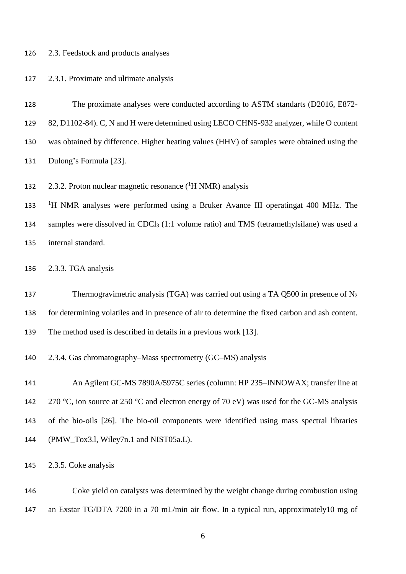#### 2.3. Feedstock and products analyses

## 2.3.1. Proximate and ultimate analysis

- The proximate analyses were conducted according to ASTM standarts (D2016, E872-
- 82, D1102-84). C, N and H were determined using LECO CHNS-932 analyzer, while O content
- was obtained by difference. Higher heating values (HHV) of samples were obtained using the
- Dulong's Formula [23].
- 132  $2.3.2$ . Proton nuclear magnetic resonance ( ${}^{1}$ H NMR) analysis

133 <sup>1</sup>H NMR analyses were performed using a Bruker Avance III operatingat 400 MHz. The 134 samples were dissolved in CDCl<sub>3</sub> (1:1 volume ratio) and TMS (tetramethylsilane) was used a internal standard.

- 2.3.3. TGA analysis
- 137 Thermogravimetric analysis (TGA) was carried out using a TA Q500 in presence of N<sub>2</sub> for determining volatiles and in presence of air to determine the fixed carbon and ash content. The method used is described in details in a previous work [13].
- 2.3.4. Gas chromatography–Mass spectrometry (GC–MS) analysis

 An Agilent GC-MS 7890A/5975C series (column: HP 235–INNOWAX; transfer line at 142 270 °C, ion source at 250 °C and electron energy of 70 eV) was used for the GC-MS analysis of the bio-oils [26]. The bio-oil components were identified using mass spectral libraries (PMW\_Tox3.l, Wiley7n.1 and NIST05a.L).

2.3.5. Coke analysis

 Coke yield on catalysts was determined by the weight change during combustion using an Exstar TG/DTA 7200 in a 70 mL/min air flow. In a typical run, approximately10 mg of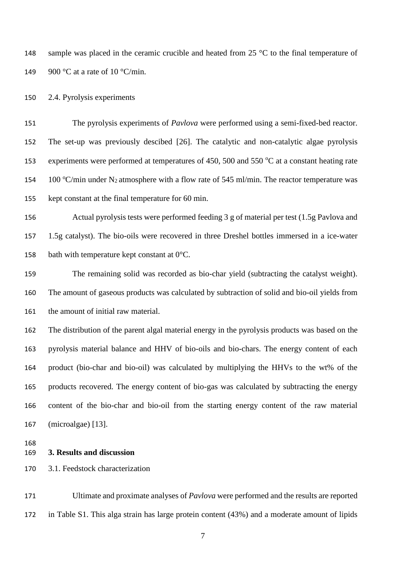148 sample was placed in the ceramic crucible and heated from 25 °C to the final temperature of 149 900 °C at a rate of 10 °C/min.

2.4. Pyrolysis experiments

 The pyrolysis experiments of *Pavlova* were performed using a semi-fixed-bed reactor. The set-up was previously descibed [26]. The catalytic and non-catalytic algae pyrolysis 153 experiments were performed at temperatures of 450, 500 and 550  $\mathrm{^{\circ}C}$  at a constant heating rate 154 100 °C/min under N<sub>2</sub> atmosphere with a flow rate of 545 ml/min. The reactor temperature was kept constant at the final temperature for 60 min.

 Actual pyrolysis tests were performed feeding 3 g of material per test (1.5g Pavlova and 1.5g catalyst). The bio-oils were recovered in three Dreshel bottles immersed in a ice-water 158 bath with temperature kept constant at  $0^{\circ}$ C.

 The remaining solid was recorded as bio-char yield (subtracting the catalyst weight). The amount of gaseous products was calculated by subtraction of solid and bio-oil yields from the amount of initial raw material.

 The distribution of the parent algal material energy in the pyrolysis products was based on the pyrolysis material balance and HHV of bio-oils and bio-chars. The energy content of each product (bio-char and bio-oil) was calculated by multiplying the HHVs to the wt% of the products recovered. The energy content of bio-gas was calculated by subtracting the energy content of the bio-char and bio-oil from the starting energy content of the raw material (microalgae) [13].

## **3. Results and discussion**

3.1. Feedstock characterization

 Ultimate and proximate analyses of *Pavlova* were performed and the results are reported in Table S1. This alga strain has large protein content (43%) and a moderate amount of lipids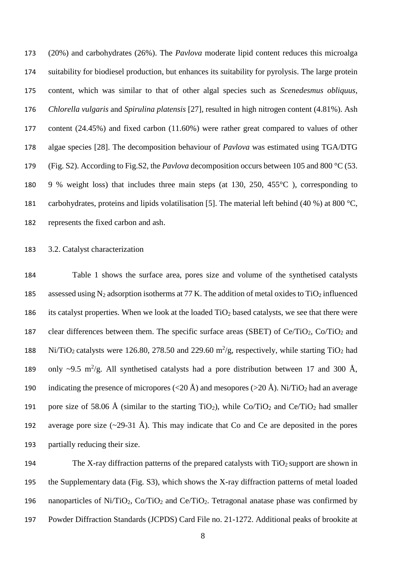(20%) and carbohydrates (26%). The *Pavlova* moderate lipid content reduces this microalga suitability for biodiesel production, but enhances its suitability for pyrolysis. The large protein content, which was similar to that of other algal species such as *Scenedesmus obliquus*, *Chlorella vulgaris* and *Spirulina platensis* [27], resulted in high nitrogen content (4.81%). Ash content (24.45%) and fixed carbon (11.60%) were rather great compared to values of other algae species [28]. The decomposition behaviour of *Pavlova* was estimated using TGA/DTG (Fig. S2). According to Fig.S2, the *Pavlova* decomposition occurs between 105 and 800 °C (53. 9 % weight loss) that includes three main steps (at 130, 250, 455°C ), corresponding to carbohydrates, proteins and lipids volatilisation [5]. The material left behind (40 %) at 800 °C, represents the fixed carbon and ash.

#### 3.2. Catalyst characterization

 Table 1 shows the surface area, pores size and volume of the synthetised catalysts 185 assessed using  $N_2$  adsorption isotherms at 77 K. The addition of metal oxides to TiO<sub>2</sub> influenced its catalyst properties. When we look at the loaded TiO<sup>2</sup> based catalysts, we see that there were 187 clear differences between them. The specific surface areas (SBET) of  $Ce/TiO<sub>2</sub>$ ,  $Co/TiO<sub>2</sub>$  and 188 Ni/TiO<sub>2</sub> catalysts were 126.80, 278.50 and 229.60 m<sup>2</sup>/g, respectively, while starting TiO<sub>2</sub> had 189 only ~9.5 m<sup>2</sup>/g. All synthetised catalysts had a pore distribution between 17 and 300 Å, 190 indicating the presence of micropores ( $\langle 20 \text{ Å} \rangle$  and mesopores ( $>$ 20 Å). Ni/TiO<sub>2</sub> had an average 191 pore size of 58.06 Å (similar to the starting TiO<sub>2</sub>), while Co/TiO<sub>2</sub> and Ce/TiO<sub>2</sub> had smaller 192 average pore size  $(\sim 29-31 \text{ Å})$ . This may indicate that Co and Ce are deposited in the pores partially reducing their size.

194 The X-ray diffraction patterns of the prepared catalysts with  $TiO<sub>2</sub>$  support are shown in the Supplementary data (Fig. S3), which shows the X-ray diffraction patterns of metal loaded 196 nanoparticles of Ni/TiO<sub>2</sub>, Co/TiO<sub>2</sub> and Ce/TiO<sub>2</sub>. Tetragonal anatase phase was confirmed by Powder Diffraction Standards (JCPDS) Card File no. 21-1272. Additional peaks of brookite at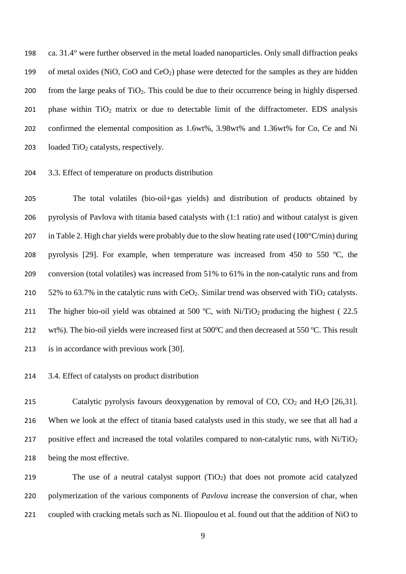198 ca. 31.4° were further observed in the metal loaded nanoparticles. Only small diffraction peaks 199 of metal oxides (NiO, CoO and CeO<sub>2</sub>) phase were detected for the samples as they are hidden 200 from the large peaks of  $TiO<sub>2</sub>$ . This could be due to their occurrence being in highly dispersed 201 phase within  $TiO<sub>2</sub>$  matrix or due to detectable limit of the diffractometer. EDS analysis 202 confirmed the elemental composition as 1.6wt%, 3.98wt% and 1.36wt% for Co, Ce and Ni 203 loaded  $TiO<sub>2</sub>$  catalysts, respectively.

#### 204 3.3. Effect of temperature on products distribution

205 The total volatiles (bio-oil+gas yields) and distribution of products obtained by 206 pyrolysis of Pavlova with titania based catalysts with (1:1 ratio) and without catalyst is given 207 in Table 2. High char yields were probably due to the slow heating rate used  $(100^{\circ}C/min)$  during 208 pyrolysis [29]. For example, when temperature was increased from 450 to 550  $^{\circ}$ C, the 209 conversion (total volatiles) was increased from 51% to 61% in the non-catalytic runs and from 210  $52\%$  to 63.7% in the catalytic runs with CeO<sub>2</sub>. Similar trend was observed with TiO<sub>2</sub> catalysts. 211 The higher bio-oil yield was obtained at 500 °C, with Ni/TiO<sub>2</sub> producing the highest (22.5) 212 wt%). The bio-oil yields were increased first at  $500^{\circ}$ C and then decreased at  $550^{\circ}$ C. This result 213 is in accordance with previous work [30].

#### 214 3.4. Effect of catalysts on product distribution

215 Catalytic pyrolysis favours deoxygenation by removal of  $CO$ ,  $CO<sub>2</sub>$  and  $H<sub>2</sub>O$  [26,31]. 216 When we look at the effect of titania based catalysts used in this study, we see that all had a 217 positive effect and increased the total volatiles compared to non-catalytic runs, with  $Ni/TiO<sub>2</sub>$ 218 being the most effective.

219 The use of a neutral catalyst support (TiO2) that does not promote acid catalyzed 220 polymerization of the various components of *Pavlova* increase the conversion of char, when 221 coupled with cracking metals such as Ni. Iliopoulou et al. found out that the addition of NiO to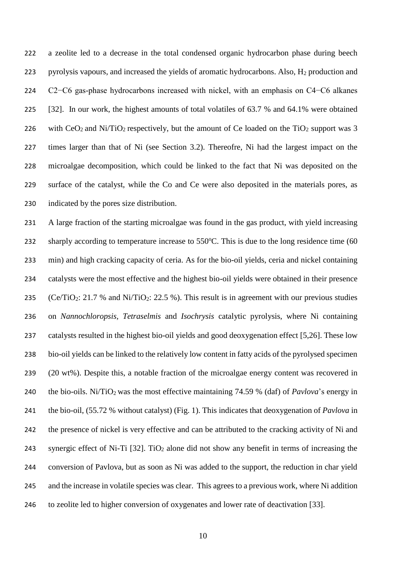a zeolite led to a decrease in the total condensed organic hydrocarbon phase during beech pyrolysis vapours, and increased the yields of aromatic hydrocarbons. Also, H<sup>2</sup> production and C2−C6 gas-phase hydrocarbons increased with nickel, with an emphasis on C4−C6 alkanes [32]. In our work, the highest amounts of total volatiles of 63.7 % and 64.1% were obtained 226 with  $CeO<sub>2</sub>$  and Ni/TiO<sub>2</sub> respectively, but the amount of Ce loaded on the TiO<sub>2</sub> support was 3 times larger than that of Ni (see Section 3.2). Thereofre, Ni had the largest impact on the microalgae decomposition, which could be linked to the fact that Ni was deposited on the surface of the catalyst, while the Co and Ce were also deposited in the materials pores, as indicated by the pores size distribution.

 A large fraction of the starting microalgae was found in the gas product, with yield increasing 232 sharply according to temperature increase to  $550^{\circ}$ C. This is due to the long residence time (60 min) and high cracking capacity of ceria. As for the bio-oil yields, ceria and nickel containing catalysts were the most effective and the highest bio-oil yields were obtained in their presence 235 (Ce/TiO<sub>2</sub>: 21.7 % and Ni/TiO<sub>2</sub>: 22.5 %). This result is in agreement with our previous studies on *Nannochloropsis, Tetraselmis* and *Isochrysis* catalytic pyrolysis, where Ni containing catalysts resulted in the highest bio-oil yields and good deoxygenation effect [5,26]. These low bio-oil yields can be linked to the relatively low content in fatty acids of the pyrolysed specimen (20 wt%). Despite this, a notable fraction of the microalgae energy content was recovered in the bio-oils. Ni/TiO<sup>2</sup> was the most effective maintaining 74.59 % (daf) of *Pavlova*'s energy in the bio-oil, (55.72 % without catalyst) (Fig. 1). This indicates that deoxygenation of *Pavlova* in the presence of nickel is very effective and can be attributed to the cracking activity of Ni and 243 synergic effect of Ni-Ti  $[32]$ . TiO<sub>2</sub> alone did not show any benefit in terms of increasing the conversion of Pavlova, but as soon as Ni was added to the support, the reduction in char yield and the increase in volatile species was clear. This agrees to a previous work, where Ni addition to zeolite led to higher conversion of oxygenates and lower rate of deactivation [33].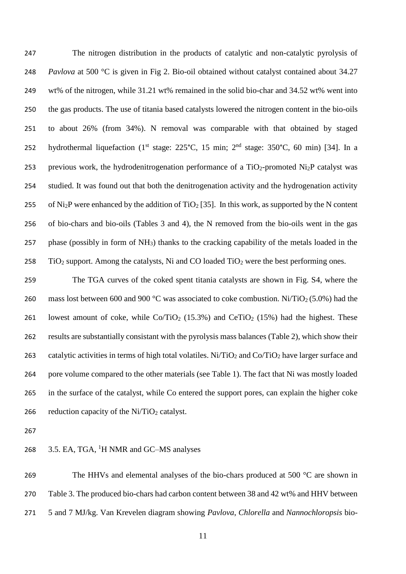The nitrogen distribution in the products of catalytic and non-catalytic pyrolysis of *Pavlova* at 500 °C is given in Fig 2. Bio-oil obtained without catalyst contained about 34.27 wt% of the nitrogen, while 31.21 wt% remained in the solid bio-char and 34.52 wt% went into the gas products. The use of titania based catalysts lowered the nitrogen content in the bio-oils to about 26% (from 34%). N removal was comparable with that obtained by staged 252 hydrothermal liquefaction (1<sup>st</sup> stage: 225°C, 15 min; 2<sup>nd</sup> stage: 350°C, 60 min) [34]. In a 253 previous work, the hydrodenitrogenation performance of a  $TiO<sub>2</sub>$ -promoted Ni<sub>2</sub>P catalyst was studied. It was found out that both the denitrogenation activity and the hydrogenation activity 255 of Ni<sub>2</sub>P were enhanced by the addition of TiO<sub>2</sub> [35]. In this work, as supported by the N content of bio-chars and bio-oils (Tables 3 and 4), the N removed from the bio-oils went in the gas phase (possibly in form of NH3) thanks to the cracking capability of the metals loaded in the  $\text{TiO}_2$  support. Among the catalysts, Ni and CO loaded  $\text{TiO}_2$  were the best performing ones.

 The TGA curves of the coked spent titania catalysts are shown in Fig. S4, where the 260 mass lost between 600 and 900 °C was associated to coke combustion. Ni/TiO<sub>2</sub> (5.0%) had the 261 lowest amount of coke, while  $Co/TiO<sub>2</sub>$  (15.3%) and  $CeTiO<sub>2</sub>$  (15%) had the highest. These results are substantially consistant with the pyrolysis mass balances (Table 2), which show their 263 catalytic activities in terms of high total volatiles. Ni/TiO<sub>2</sub> and Co/TiO<sub>2</sub> have larger surface and pore volume compared to the other materials (see Table 1). The fact that Ni was mostly loaded in the surface of the catalyst, while Co entered the support pores, can explain the higher coke 266 reduction capacity of the  $Ni/TiO<sub>2</sub>$  catalyst.

## 268 3.5. EA, TGA, <sup>1</sup>H NMR and GC–MS analyses

269 The HHVs and elemental analyses of the bio-chars produced at 500 °C are shown in Table 3. The produced bio-chars had carbon content between 38 and 42 wt% and HHV between 5 and 7 MJ/kg. Van Krevelen diagram showing *Pavlova*, *Chlorella* and *Nannochloropsis* bio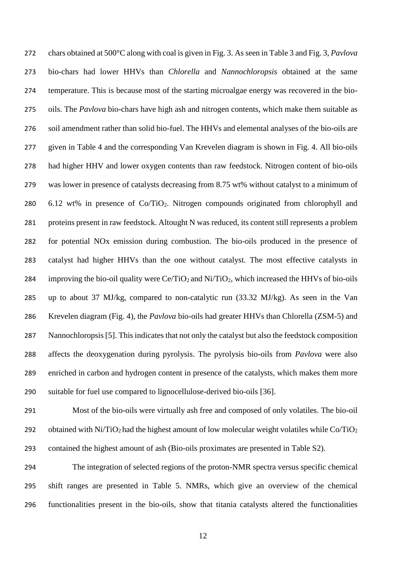chars obtained at 500°C along with coal is given in Fig. 3. As seen in Table 3 and Fig. 3, *Pavlova* bio-chars had lower HHVs than *Chlorella* and *Nannochloropsis* obtained at the same temperature. This is because most of the starting microalgae energy was recovered in the bio- oils. The *Pavlova* bio-chars have high ash and nitrogen contents, which make them suitable as soil amendment rather than solid bio-fuel. The HHVs and elemental analyses of the bio-oils are given in Table 4 and the corresponding Van Krevelen diagram is shown in Fig. 4. All bio-oils had higher HHV and lower oxygen contents than raw feedstock. Nitrogen content of bio-oils was lower in presence of catalysts decreasing from 8.75 wt% without catalyst to a minimum of 6.12 wt% in presence of Co/TiO2. Nitrogen compounds originated from chlorophyll and proteins present in raw feedstock. Altought N was reduced, its content still represents a problem for potential NOx emission during combustion. The bio-oils produced in the presence of catalyst had higher HHVs than the one without catalyst. The most effective catalysts in 284 improving the bio-oil quality were  $Ce/TiO<sub>2</sub>$  and Ni/TiO<sub>2</sub>, which increased the HHVs of bio-oils up to about 37 MJ/kg, compared to non-catalytic run (33.32 MJ/kg). As seen in the Van Krevelen diagram (Fig. 4), the *Pavlova* bio-oils had greater HHVs than Chlorella (ZSM-5) and Nannochloropsis [5]. This indicates that not only the catalyst but also the feedstock composition affects the deoxygenation during pyrolysis. The pyrolysis bio-oils from *Pavlova* were also enriched in carbon and hydrogen content in presence of the catalysts, which makes them more suitable for fuel use compared to lignocellulose-derived bio-oils [36].

 Most of the bio-oils were virtually ash free and composed of only volatiles. The bio-oil 292 obtained with Ni/TiO<sub>2</sub> had the highest amount of low molecular weight volatiles while  $Co/TiO<sub>2</sub>$ contained the highest amount of ash (Bio-oils proximates are presented in Table S2).

 The integration of selected regions of the proton-NMR spectra versus specific chemical shift ranges are presented in Table 5. NMRs, which give an overview of the chemical functionalities present in the bio-oils, show that titania catalysts altered the functionalities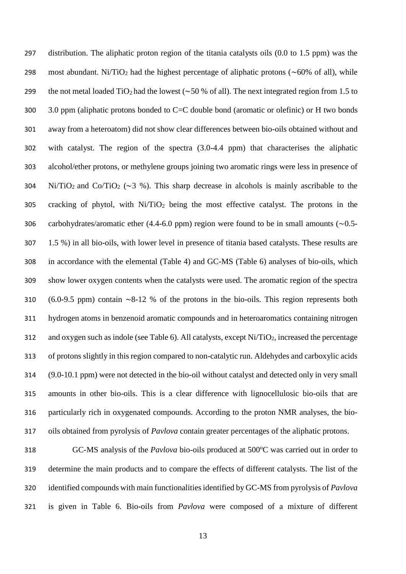distribution. The aliphatic proton region of the titania catalysts oils (0.0 to 1.5 ppm) was the 298 most abundant. Ni/TiO<sub>2</sub> had the highest percentage of aliphatic protons (∼60% of all), while the not metal loaded TiO<sup>2</sup> had the lowest (∼50 % of all). The next integrated region from 1.5 to 3.0 ppm (aliphatic protons bonded to C=C double bond (aromatic or olefinic) or H two bonds away from a heteroatom) did not show clear differences between bio-oils obtained without and with catalyst. The region of the spectra (3.0-4.4 ppm) that characterises the aliphatic alcohol/ether protons, or methylene groups joining two aromatic rings were less in presence of 304 Ni/TiO<sub>2</sub> and Co/TiO<sub>2</sub> ( $\sim$ 3 %). This sharp decrease in alcohols is mainly ascribable to the cracking of phytol, with Ni/TiO<sub>2</sub> being the most effective catalyst. The protons in the carbohydrates/aromatic ether (4.4-6.0 ppm) region were found to be in small amounts (∼0.5- 1.5 %) in all bio-oils, with lower level in presence of titania based catalysts. These results are in accordance with the elemental (Table 4) and GC-MS (Table 6) analyses of bio-oils, which show lower oxygen contents when the catalysts were used. The aromatic region of the spectra (6.0-9.5 ppm) contain ∼8-12 % of the protons in the bio-oils. This region represents both hydrogen atoms in benzenoid aromatic compounds and in heteroaromatics containing nitrogen and oxygen such as indole (see Table 6). All catalysts, except Ni/TiO2, increased the percentage of protons slightly in this region compared to non-catalytic run. Aldehydes and carboxylic acids (9.0-10.1 ppm) were not detected in the bio-oil without catalyst and detected only in very small amounts in other bio-oils. This is a clear difference with lignocellulosic bio-oils that are particularly rich in oxygenated compounds. According to the proton NMR analyses, the bio-oils obtained from pyrolysis of *Pavlova* contain greater percentages of the aliphatic protons.

318 GC-MS analysis of the *Pavlova* bio-oils produced at 500°C was carried out in order to determine the main products and to compare the effects of different catalysts. The list of the identified compounds with main functionalities identified by GC-MS from pyrolysis of *Pavlova* is given in Table 6. Bio-oils from *Pavlova* were composed of a mixture of different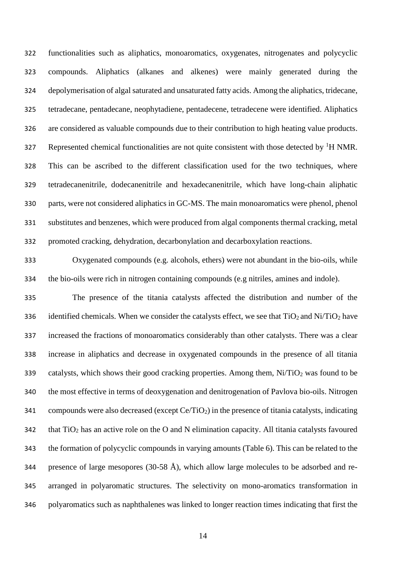functionalities such as aliphatics, monoaromatics, oxygenates, nitrogenates and polycyclic compounds. Aliphatics (alkanes and alkenes) were mainly generated during the depolymerisation of algal saturated and unsaturated fatty acids. Among the aliphatics, tridecane, tetradecane, pentadecane, neophytadiene, pentadecene, tetradecene were identified. Aliphatics are considered as valuable compounds due to their contribution to high heating value products. 327 Represented chemical functionalities are not quite consistent with those detected by <sup>1</sup>H NMR. This can be ascribed to the different classification used for the two techniques, where tetradecanenitrile, dodecanenitrile and hexadecanenitrile, which have long-chain aliphatic parts, were not considered aliphatics in GC-MS. The main monoaromatics were phenol, phenol substitutes and benzenes, which were produced from algal components thermal cracking, metal promoted cracking, dehydration, decarbonylation and decarboxylation reactions.

 Oxygenated compounds (e.g. alcohols, ethers) were not abundant in the bio-oils, while the bio-oils were rich in nitrogen containing compounds (e.g nitriles, amines and indole).

 The presence of the titania catalysts affected the distribution and number of the 336 identified chemicals. When we consider the catalysts effect, we see that  $TiO<sub>2</sub>$  and Ni/TiO<sub>2</sub> have increased the fractions of monoaromatics considerably than other catalysts. There was a clear increase in aliphatics and decrease in oxygenated compounds in the presence of all titania 339 catalysts, which shows their good cracking properties. Among them,  $Ni/TiO<sub>2</sub>$  was found to be the most effective in terms of deoxygenation and denitrogenation of Pavlova bio-oils. Nitrogen 341 compounds were also decreased (except  $Ce/TiO<sub>2</sub>$ ) in the presence of titania catalysts, indicating that TiO<sup>2</sup> has an active role on the O and N elimination capacity. All titania catalysts favoured the formation of polycyclic compounds in varying amounts (Table 6). This can be related to the 344 presence of large mesopores (30-58 Å), which allow large molecules to be adsorbed and re- arranged in polyaromatic structures. The selectivity on mono-aromatics transformation in polyaromatics such as naphthalenes was linked to longer reaction times indicating that first the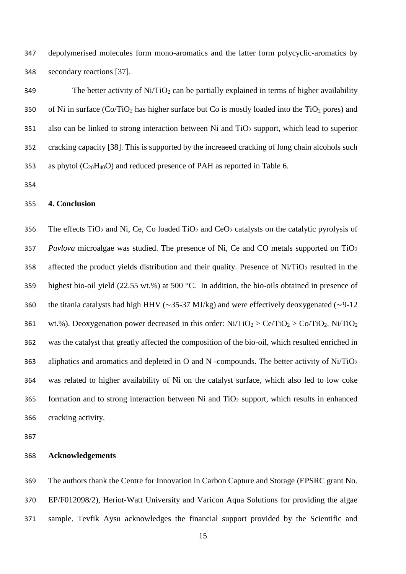depolymerised molecules form mono-aromatics and the latter form polycyclic-aromatics by secondary reactions [\[37\].](http://www.sciencedirect.com/science/article/pii/S0021951709004217#b0135)

349 The better activity of  $Ni/TiO<sub>2</sub>$  can be partially explained in terms of higher availability 350 of Ni in surface  $(Co/TiO<sub>2</sub>)$  has higher surface but Co is mostly loaded into the TiO<sub>2</sub> pores) and also can be linked to strong interaction between Ni and TiO<sub>2</sub> support, which lead to superior cracking capacity [38]. This is supported by the increaeed cracking of long chain alcohols such 353 as phytol  $(C_{20}H_{40}O)$  and reduced presence of PAH as reported in Table 6.

## **4. Conclusion**

356 The effects TiO<sub>2</sub> and Ni, Ce, Co loaded TiO<sub>2</sub> and CeO<sub>2</sub> catalysts on the catalytic pyrolysis of *Pavlova* microalgae was studied. The presence of Ni, Ce and CO metals supported on TiO<sup>2</sup> 358 affected the product yields distribution and their quality. Presence of  $Ni/TiO<sub>2</sub>$  resulted in the highest bio-oil yield (22.55 wt.%) at 500 °C. In addition, the bio-oils obtained in presence of the titania catalysts had high HHV (∼35-37 MJ/kg) and were effectively deoxygenated (∼9-12 361 wt.%). Deoxygenation power decreased in this order:  $Ni/TiO<sub>2</sub> > Ce/TiO<sub>2</sub> > Co/TiO<sub>2</sub>$ . Ni/TiO<sub>2</sub> was the catalyst that greatly affected the composition of the bio-oil, which resulted enriched in 363 aliphatics and aromatics and depleted in O and N -compounds. The better activity of  $Ni/TiO<sub>2</sub>$  was related to higher availability of Ni on the catalyst surface, which also led to low coke 365 formation and to strong interaction between Ni and  $TiO<sub>2</sub>$  support, which results in enhanced cracking activity.

#### **Acknowledgements**

 The authors thank the Centre for Innovation in Carbon Capture and Storage (EPSRC grant No. EP/F012098/2), Heriot-Watt University and Varicon Aqua Solutions for providing the algae sample. Tevfik Aysu acknowledges the financial support provided by the Scientific and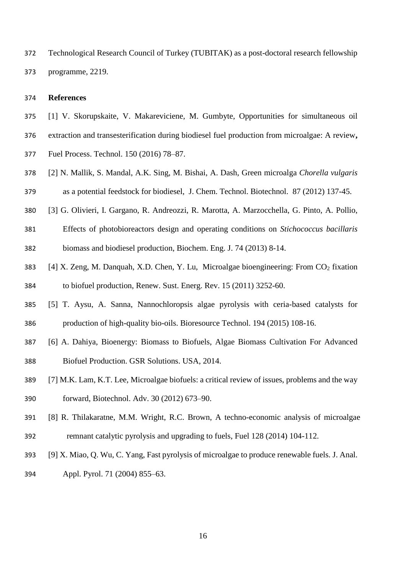Technological Research Council of Turkey (TUBITAK) as a post-doctoral research fellowship programme, 2219.

#### **References**

- [1] V. [Skorupskaite,](http://www.sciencedirect.com/science/article/pii/S0378382016301904) V. [Makareviciene,](http://www.sciencedirect.com/science/article/pii/S0378382016301904) M. [Gumbyte,](http://www.sciencedirect.com/science/article/pii/S0378382016301904) Opportunities for simultaneous oil
- extraction and transesterification during biodiesel fuel production from microalgae: A review**,**
- [Fuel Process.](http://www.sciencedirect.com/science/journal/03783820) Technol. 150 (2016) 78–87.
- [2] N. Mallik, S. Mandal, A.K. Sing, M. Bishai, A. Dash, Green microalga *Chorella vulgaris*  as a potential feedstock for biodiesel, J. Chem. Technol. Biotechnol. 87 (2012) 137-45.
- [3] G. Olivieri, I. Gargano, R. Andreozzi, R. Marotta, A. Marzocchella, G. Pinto, A. Pollio,
- Effects of photobioreactors design and operating conditions on *Stichococcus bacillaris*  biomass and biodiesel production, Biochem. Eng. J. 74 (2013) 8-14.
- 383 [4] X. Zeng, M. Danquah, X.D. Chen, Y. Lu, Microalgae bioengineering: From  $CO<sub>2</sub>$  fixation to biofuel production, Renew. Sust. Energ. Rev. 15 (2011) 3252-60.
- [5] T. Aysu, A. Sanna, Nannochloropsis algae pyrolysis with ceria-based catalysts for production of high-quality bio-oils. Bioresource Technol. 194 (2015) 108-16.
- [6] A. Dahiya, Bioenergy: Biomass to Biofuels, Algae Biomass Cultivation For Advanced Biofuel Production. GSR Solutions. USA, 2014.
- [7] M.K. Lam, K.T. Lee, Microalgae biofuels: a critical review of issues, problems and the way forward, Biotechnol. Adv. 30 (2012) 673–90.
- [8] R. Thilakaratne, M.M. Wright, R.C. Brown, A techno-economic analysis of microalgae remnant catalytic pyrolysis and upgrading to fuels, Fuel 128 (2014) 104-112.
- [9] X. Miao, Q. Wu, C. Yang, Fast pyrolysis of microalgae to produce renewable fuels. J. Anal.
- Appl. Pyrol. 71 (2004) 855–63.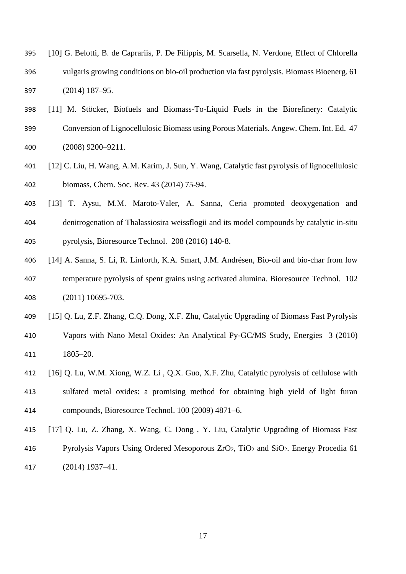- [10] G. Belotti, B. de Caprariis, P. De Filippis, M. Scarsella, N. Verdone, Effect of Chlorella vulgaris growing conditions on bio-oil production via fast pyrolysis. Biomass Bioenerg. 61 (2014) 187–95.
- [11] M. Stöcker, Biofuels and Biomass-To-Liquid Fuels in the Biorefinery: Catalytic Conversion of Lignocellulosic Biomass using Porous Materials. Angew. Chem. Int. Ed. 47 (2008) 9200–9211.
- [12] C. Liu, H. Wang, A.M. Karim, J. Sun, Y. Wang, Catalytic fast pyrolysis of lignocellulosic biomass, Chem. Soc. Rev. 43 (2014) 75-94.
- [13] T. Aysu, M.M. Maroto-Valer, A. Sanna, Ceria promoted deoxygenation and denitrogenation of Thalassiosira weissflogii and its model compounds by catalytic in-situ pyrolysis, Bioresource Technol. 208 (2016) 140-8.
- [14] A. Sanna, S. Li, R. Linforth, K.A. Smart, J.M. Andrésen, Bio-oil and bio-char from low temperature pyrolysis of spent grains using activated alumina. Bioresource Technol. 102 (2011) 10695-703.
- [15] Q. Lu, Z.F. Zhang, C.Q. Dong, X.F. Zhu, Catalytic Upgrading of Biomass Fast Pyrolysis Vapors with Nano Metal Oxides: An Analytical Py-GC/MS Study, Energies 3 (2010) 1805–20.
- [16] Q. Lu, W.M. Xiong, W.Z. Li , Q.X. Guo, X.F. Zhu, Catalytic pyrolysis of cellulose with sulfated metal oxides: a promising method for obtaining high yield of light furan compounds, Bioresource Technol. 100 (2009) 4871–6.
- [17] Q. Lu, Z. Zhang, X. Wang, C. Dong , Y. Liu, Catalytic Upgrading of Biomass Fast 416 Pyrolysis Vapors Using Ordered Mesoporous  $ZrO_2$ , TiO<sub>2</sub> and SiO<sub>2</sub>. Energy Procedia 61 (2014) 1937–41.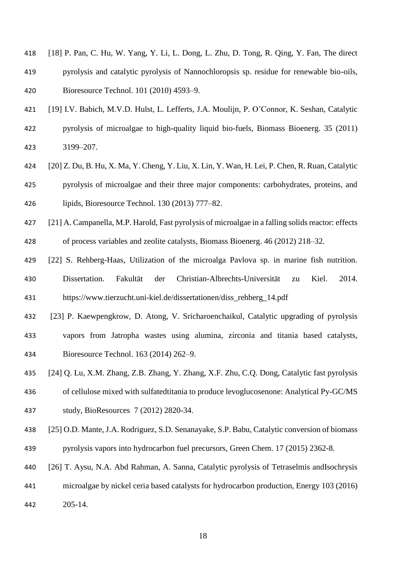- [18] P. Pan, C. Hu, W. Yang, Y. Li, L. Dong, L. Zhu, D. Tong, R. Qing, Y. Fan, The direct pyrolysis and catalytic pyrolysis of Nannochloropsis sp. residue for renewable bio-oils, Bioresource Technol. 101 (2010) 4593–9.
- [19] I.V. Babich, M.V.D. Hulst, L. Lefferts, J.A. Moulijn, P. O'Connor, K. Seshan, Catalytic pyrolysis of microalgae to high-quality liquid bio-fuels, Biomass Bioenerg. 35 (2011) 3199–207.
- [20] Z. Du, B. Hu, X. Ma, Y. Cheng, Y. Liu, X. Lin, Y. Wan, H. Lei, P. Chen, R. Ruan, Catalytic pyrolysis of microalgae and their three major components: carbohydrates, proteins, and lipids, Bioresource Technol. 130 (2013) 777–82.
- [21] A. Campanella, M.P. Harold, Fast pyrolysis of microalgae in a falling solids reactor: effects
- of process variables and zeolite catalysts, Biomass Bioenerg. 46 (2012) 218–32.
- [22] S. Rehberg-Haas, Utilization of the microalga Pavlova sp. in marine fish nutrition. Dissertation. Fakultät der Christian-Albrechts-Universität zu Kiel. 2014. https://www.tierzucht.uni-kiel.de/dissertationen/diss\_rehberg\_14.pdf
- [23] P. Kaewpengkrow, D. Atong, V. Sricharoenchaikul, Catalytic upgrading of pyrolysis vapors from Jatropha wastes using alumina, zirconia and titania based catalysts, Bioresource Technol. 163 (2014) 262–9.
- [24] Q. Lu, X.M. Zhang, Z.B. Zhang, Y. Zhang, X.F. Zhu, C.Q. Dong, Catalytic fast pyrolysis of cellulose mixed with sulfatedtitania to produce levoglucosenone: Analytical Py-GC/MS study, BioResources 7 (2012) 2820-34.
- [25] O.D. Mante, J.A. Rodriguez, S.D. Senanayake, S.P. Babu, Catalytic conversion of biomass pyrolysis vapors into hydrocarbon fuel precursors, Green Chem. 17 (2015) 2362-8.
- [26] T. Aysu, N.A. Abd Rahman, A. Sanna, Catalytic pyrolysis of Tetraselmis andIsochrysis
- microalgae by nickel ceria based catalysts for hydrocarbon production, Energy 103 (2016) 205-14.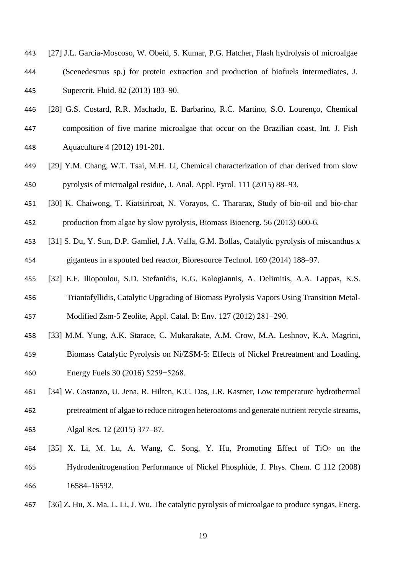- [27] J.L. Garcia-Moscoso, W. Obeid, S. Kumar, P.G. Hatcher, Flash hydrolysis of microalgae (Scenedesmus sp.) for protein extraction and production of biofuels intermediates, J. Supercrit. Fluid. 82 (2013) 183–90.
- [28] G.S. Costard, R.R. Machado, E. Barbarino, R.C. Martino, S.O. Lourenço, Chemical composition of five marine microalgae that occur on the Brazilian coast, Int. J. Fish Aquaculture 4 (2012) 191-201.
- [29] Y.M. Chang, W.T. Tsai, M.H. Li, Chemical characterization of char derived from slow pyrolysis of microalgal residue, J. Anal. Appl. Pyrol. 111 (2015) 88–93.
- [30] K. Chaiwong, T. Kiatsiriroat, N. Vorayos, C. Thararax, Study of bio-oil and bio-char production from algae by slow pyrolysis, Biomass Bioenerg. 56 (2013) 600-6.
- [31] S. Du, Y. Sun, D.P. Gamliel, J.A. Valla, G.M. Bollas, Catalytic pyrolysis of miscanthus x giganteus in a spouted bed reactor, Bioresource Technol. 169 (2014) 188–97.
- [32] E.F. Iliopoulou, S.D. Stefanidis, K.G. Kalogiannis, A. Delimitis, A.A. Lappas, K.S. Triantafyllidis, Catalytic Upgrading of Biomass Pyrolysis Vapors Using Transition Metal-

Modified Zsm-5 Zeolite, Appl. Catal. B: Env. 127 (2012) 281−290.

- [33] M.M. Yung, A.K. Starace, C. Mukarakate, A.M. Crow, M.A. Leshnov, K.A. Magrini,
- Biomass Catalytic Pyrolysis on Ni/ZSM-5: Effects of Nickel Pretreatment and Loading,
- Energy Fuels 30 (2016) 5259−5268.
- [34] W. Costanzo, U. Jena, R. Hilten, K.C. Das, J.R. Kastner, Low temperature hydrothermal
- pretreatment of algae to reduce nitrogen heteroatoms and generate nutrient recycle streams, Algal Res. 12 (2015) 377–87.
- 464 [35] X. Li, M. Lu, A. Wang, C. Song, Y. Hu, Promoting Effect of TiO<sub>2</sub> on the Hydrodenitrogenation Performance of Nickel Phosphide, J. Phys. Chem. C 112 (2008) 16584–16592.
- [36] Z. Hu, X. Ma, L. Li, J. Wu, The catalytic pyrolysis of microalgae to produce syngas, Energ.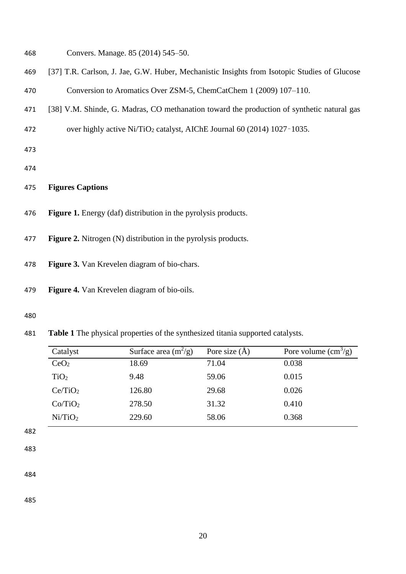- Convers. Manage. 85 (2014) 545–50.
- [37] T.R. Carlson, J. Jae, G.W. Huber, Mechanistic Insights from Isotopic Studies of Glucose
- Conversion to Aromatics Over ZSM-5, ChemCatChem 1 (2009) 107–110.
- [38] V.M. Shinde, G. Madras, CO methanation toward the production of synthetic natural gas
- 472 over highly active Ni/TiO<sub>2</sub> catalyst, AIChE Journal 60 (2014) 1027-1035.
- 
- 

## **Figures Captions**

- **Figure 1.** Energy (daf) distribution in the pyrolysis products.
- **Figure 2.** Nitrogen (N) distribution in the pyrolysis products.
- **Figure 3.** Van Krevelen diagram of bio-chars.
- **Figure 4.** Van Krevelen diagram of bio-oils.
- 
- **Table 1** The physical properties of the synthesized titania supported catalysts.

| Catalyst            | Surface area $(m^2/g)$ | Pore size $(\AA)$ | Pore volume $\rm(cm^3/g)$ |
|---------------------|------------------------|-------------------|---------------------------|
| CeO <sub>2</sub>    | 18.69                  | 71.04             | 0.038                     |
| TiO <sub>2</sub>    | 9.48                   | 59.06             | 0.015                     |
| Ce/TiO <sub>2</sub> | 126.80                 | 29.68             | 0.026                     |
| Co/TiO <sub>2</sub> | 278.50                 | 31.32             | 0.410                     |
| Ni/TiO <sub>2</sub> | 229.60                 | 58.06             | 0.368                     |
|                     |                        |                   |                           |

- 
-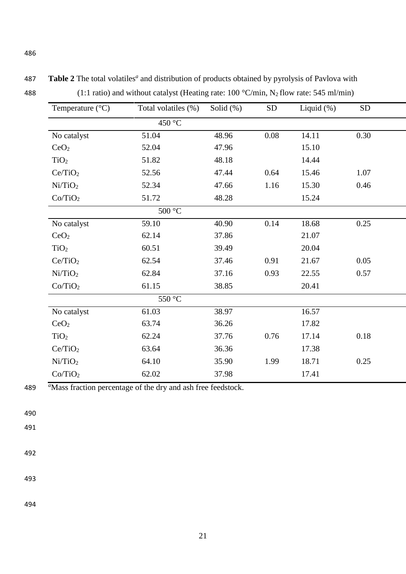| Temperature $(^{\circ}C)$ | Total volatiles (%)       | Solid $(\%)$ | ${\rm SD}$ | Liquid $(\%)$ | <b>SD</b> |
|---------------------------|---------------------------|--------------|------------|---------------|-----------|
|                           | 450 °C                    |              |            |               |           |
| No catalyst               | 51.04                     | 48.96        | $0.08\,$   | 14.11         | 0.30      |
| CeO <sub>2</sub>          | 52.04                     | 47.96        |            | 15.10         |           |
| TiO <sub>2</sub>          | 51.82                     | 48.18        |            | 14.44         |           |
| Ce/TiO <sub>2</sub>       | 52.56                     | 47.44        | 0.64       | 15.46         | 1.07      |
| Ni/TiO <sub>2</sub>       | 52.34                     | 47.66        | 1.16       | 15.30         | 0.46      |
| Co/TiO <sub>2</sub>       | 51.72                     | 48.28        |            | 15.24         |           |
|                           | $500\,^{\circ}\mathrm{C}$ |              |            |               |           |
| No catalyst               | 59.10                     | 40.90        | 0.14       | 18.68         | 0.25      |
| CeO <sub>2</sub>          | 62.14                     | 37.86        |            | 21.07         |           |
| TiO <sub>2</sub>          | 60.51                     | 39.49        |            | 20.04         |           |
| Ce/TiO <sub>2</sub>       | 62.54                     | 37.46        | 0.91       | 21.67         | 0.05      |
| Ni/TiO <sub>2</sub>       | 62.84                     | 37.16        | 0.93       | 22.55         | 0.57      |
| Co/TiO <sub>2</sub>       | 61.15                     | 38.85        |            | 20.41         |           |
|                           | 550 °C                    |              |            |               |           |
| No catalyst               | 61.03                     | 38.97        |            | 16.57         |           |
| CeO <sub>2</sub>          | 63.74                     | 36.26        |            | 17.82         |           |
| TiO <sub>2</sub>          | 62.24                     | 37.76        | 0.76       | 17.14         | 0.18      |
| Ce/TiO <sub>2</sub>       | 63.64                     | 36.36        |            | 17.38         |           |
| Ni/TiO <sub>2</sub>       | 64.10                     | 35.90        | 1.99       | 18.71         | 0.25      |
| Co/TiO <sub>2</sub>       | 62.02                     | 37.98        |            | 17.41         |           |

487 Table 2 The total volatiles<sup>*a*</sup> and distribution of products obtained by pyrolysis of Pavlova with

488 (1:1 ratio) and without catalyst (Heating rate:  $100 °C/min$ , N<sub>2</sub> flow rate: 545 ml/min)

489 *<sup>a</sup>*Mass fraction percentage of the dry and ash free feedstock.

490

491

492

493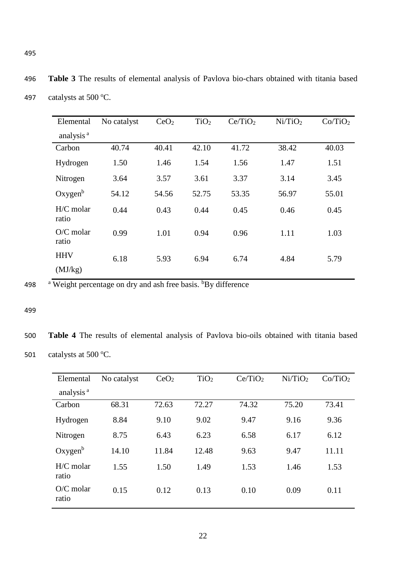| Elemental             | No catalyst | CeO <sub>2</sub> | TiO <sub>2</sub> | Ce/TiO <sub>2</sub> | Ni/TiO <sub>2</sub> | Co/TiO <sub>2</sub> |
|-----------------------|-------------|------------------|------------------|---------------------|---------------------|---------------------|
| analysis <sup>a</sup> |             |                  |                  |                     |                     |                     |
| Carbon                | 40.74       | 40.41            | 42.10            | 41.72               | 38.42               | 40.03               |
| Hydrogen              | 1.50        | 1.46             | 1.54             | 1.56                | 1.47                | 1.51                |
| Nitrogen              | 3.64        | 3.57             | 3.61             | 3.37                | 3.14                | 3.45                |
| Oxygen <sup>b</sup>   | 54.12       | 54.56            | 52.75            | 53.35               | 56.97               | 55.01               |
| $H/C$ molar<br>ratio  | 0.44        | 0.43             | 0.44             | 0.45                | 0.46                | 0.45                |
| $O/C$ molar<br>ratio  | 0.99        | 1.01             | 0.94             | 0.96                | 1.11                | 1.03                |
| <b>HHV</b>            | 6.18        | 5.93             | 6.94             | 6.74                | 4.84                | 5.79                |
| (MJ/kg)               |             |                  |                  |                     |                     |                     |

496 **Table 3** The results of elemental analysis of Pavlova bio-chars obtained with titania based

498  $\mathrm{a}$  Weight percentage on dry and ash free basis.  $\mathrm{b}$ By difference

#### 499

500 **Table 4** The results of elemental analysis of Pavlova bio-oils obtained with titania based 501 catalysts at 500  $\mathrm{^{\circ}C}$ .

| Elemental             | No catalyst | CeO <sub>2</sub> | TiO <sub>2</sub> | Ce/TiO <sub>2</sub> | Ni/TiO <sub>2</sub> | Co/TiO <sub>2</sub> |
|-----------------------|-------------|------------------|------------------|---------------------|---------------------|---------------------|
| analysis <sup>a</sup> |             |                  |                  |                     |                     |                     |
| Carbon                | 68.31       | 72.63            | 72.27            | 74.32               | 75.20               | 73.41               |
| Hydrogen              | 8.84        | 9.10             | 9.02             | 9.47                | 9.16                | 9.36                |
| Nitrogen              | 8.75        | 6.43             | 6.23             | 6.58                | 6.17                | 6.12                |
| Oxygen <sup>b</sup>   | 14.10       | 11.84            | 12.48            | 9.63                | 9.47                | 11.11               |
| $H/C$ molar<br>ratio  | 1.55        | 1.50             | 1.49             | 1.53                | 1.46                | 1.53                |
| $O/C$ molar<br>ratio  | 0.15        | 0.12             | 0.13             | 0.10                | 0.09                | 0.11                |

497 catalysts at 500  $\mathrm{^{\circ}C}$ .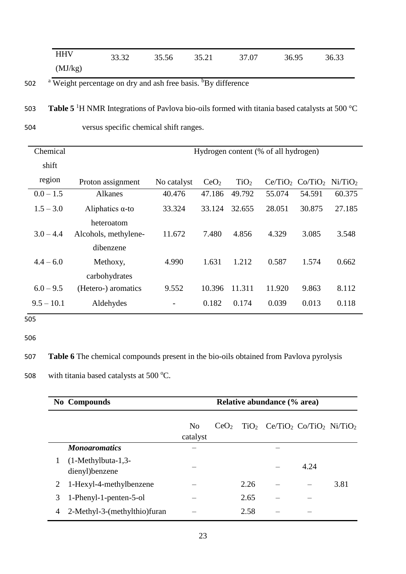|         | 33.32 | 35.56 | 35.21 | 37.07 | 36.95 | 36.33 |
|---------|-------|-------|-------|-------|-------|-------|
| (MJ/kg) |       |       |       |       |       |       |

502 <sup>a</sup> Weight percentage on dry and ash free basis. <sup>b</sup>By difference

503 **Table 5**<sup>1</sup>H NMR Integrations of Pavlova bio-oils formed with titania based catalysts at 500 °C

504 versus specific chemical shift ranges.

| Chemical     |                                    |             |                  |                  | Hydrogen content (% of all hydrogen) |                     |                     |
|--------------|------------------------------------|-------------|------------------|------------------|--------------------------------------|---------------------|---------------------|
| shift        |                                    |             |                  |                  |                                      |                     |                     |
| region       | Proton assignment                  | No catalyst | CeO <sub>2</sub> | TiO <sub>2</sub> | Ce/TiO <sub>2</sub>                  | Co/TiO <sub>2</sub> | Ni/TiO <sub>2</sub> |
| $0.0 - 1.5$  | <b>Alkanes</b>                     | 40.476      | 47.186           | 49.792           | 55.074                               | 54.591              | 60.375              |
| $1.5 - 3.0$  | Aliphatics $\alpha$ -to            | 33.324      | 33.124           | 32.655           | 28.051                               | 30.875              | 27.185              |
| $3.0 - 4.4$  | heteroatom<br>Alcohols, methylene- | 11.672      | 7.480            | 4.856            | 4.329                                | 3.085               | 3.548               |
|              | dibenzene                          |             |                  |                  |                                      |                     |                     |
| $4.4 - 6.0$  | Methoxy,                           | 4.990       | 1.631            | 1.212            | 0.587                                | 1.574               | 0.662               |
|              | carbohydrates                      |             |                  |                  |                                      |                     |                     |
| $6.0 - 9.5$  | (Hetero-) aromatics                | 9.552       | 10.396           | 11.311           | 11.920                               | 9.863               | 8.112               |
| $9.5 - 10.1$ | Aldehydes                          |             | 0.182            | 0.174            | 0.039                                | 0.013               | 0.118               |

505

506

507 **Table 6** The chemical compounds present in the bio-oils obtained from Pavlova pyrolysis

508 with titania based catalysts at 500 $\,^{\circ}$ C.

| <b>No Compounds</b> |                                        | Relative abundance (% area) |                  |      |                                                                    |      |      |
|---------------------|----------------------------------------|-----------------------------|------------------|------|--------------------------------------------------------------------|------|------|
|                     |                                        | N <sub>0</sub><br>catalyst  | CeO <sub>2</sub> |      | $TiO2$ Ce/TiO <sub>2</sub> Co/TiO <sub>2</sub> Ni/TiO <sub>2</sub> |      |      |
|                     | <b>Monogromatics</b>                   |                             |                  |      |                                                                    |      |      |
| 1                   | $(1-Methylbuta-1,3-$<br>dienyl)benzene |                             |                  |      |                                                                    | 4.24 |      |
| 2                   | 1-Hexyl-4-methylbenzene                |                             |                  | 2.26 |                                                                    |      | 3.81 |
| 3                   | 1-Phenyl-1-penten-5-ol                 |                             |                  | 2.65 |                                                                    |      |      |
| $\overline{4}$      | 2-Methyl-3-(methylthio)furan           |                             |                  | 2.58 |                                                                    |      |      |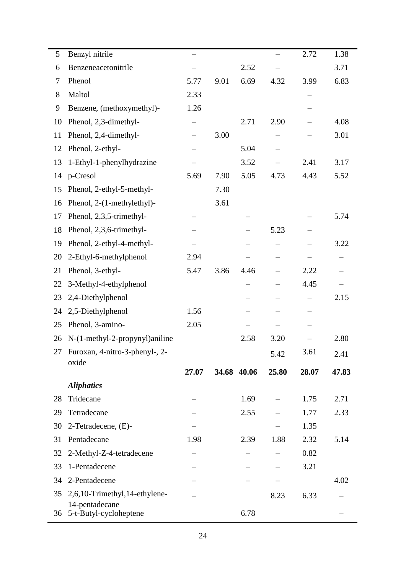| 5  | Benzyl nitrile                    | $\overline{\phantom{0}}$ |      |             |       | 2.72  | 1.38  |
|----|-----------------------------------|--------------------------|------|-------------|-------|-------|-------|
| 6  | Benzeneacetonitrile               |                          |      | 2.52        |       |       | 3.71  |
| 7  | Phenol                            | 5.77                     | 9.01 | 6.69        | 4.32  | 3.99  | 6.83  |
| 8  | Maltol                            | 2.33                     |      |             |       |       |       |
| 9  | Benzene, (methoxymethyl)-         | 1.26                     |      |             |       |       |       |
| 10 | Phenol, 2,3-dimethyl-             | —                        |      | 2.71        | 2.90  |       | 4.08  |
| 11 | Phenol, 2,4-dimethyl-             | $\overline{\phantom{0}}$ | 3.00 |             |       |       | 3.01  |
| 12 | Phenol, 2-ethyl-                  |                          |      | 5.04        |       |       |       |
| 13 | 1-Ethyl-1-phenylhydrazine         |                          |      | 3.52        |       | 2.41  | 3.17  |
| 14 | p-Cresol                          | 5.69                     | 7.90 | 5.05        | 4.73  | 4.43  | 5.52  |
| 15 | Phenol, 2-ethyl-5-methyl-         |                          | 7.30 |             |       |       |       |
| 16 | Phenol, 2-(1-methylethyl)-        |                          | 3.61 |             |       |       |       |
| 17 | Phenol, 2,3,5-trimethyl-          |                          |      |             |       |       | 5.74  |
| 18 | Phenol, 2,3,6-trimethyl-          |                          |      |             | 5.23  |       |       |
| 19 | Phenol, 2-ethyl-4-methyl-         |                          |      |             |       |       | 3.22  |
| 20 | 2-Ethyl-6-methylphenol            | 2.94                     |      |             |       |       |       |
| 21 | Phenol, 3-ethyl-                  | 5.47                     | 3.86 | 4.46        |       | 2.22  |       |
| 22 | 3-Methyl-4-ethylphenol            |                          |      |             |       | 4.45  |       |
| 23 | 2,4-Diethylphenol                 |                          |      | —           |       |       | 2.15  |
| 24 | 2,5-Diethylphenol                 | 1.56                     |      |             |       |       |       |
| 25 | Phenol, 3-amino-                  | 2.05                     |      |             |       |       |       |
| 26 | N-(1-methyl-2-propynyl)aniline    |                          |      | 2.58        | 3.20  |       | 2.80  |
|    | 27 Furoxan, 4-nitro-3-phenyl-, 2- |                          |      |             | 5.42  | 3.61  | 2.41  |
|    | oxide                             | 27.07                    |      | 34.68 40.06 | 25.80 | 28.07 | 47.83 |
|    | <b>Aliphatics</b>                 |                          |      |             |       |       |       |
| 28 | Tridecane                         |                          |      | 1.69        |       | 1.75  | 2.71  |
| 29 | Tetradecane                       |                          |      | 2.55        |       | 1.77  | 2.33  |
| 30 | 2-Tetradecene, (E)-               |                          |      |             |       | 1.35  |       |
| 31 | Pentadecane                       | 1.98                     |      | 2.39        | 1.88  | 2.32  | 5.14  |
| 32 | 2-Methyl-Z-4-tetradecene          |                          |      |             |       | 0.82  |       |
| 33 | 1-Pentadecene                     |                          |      |             |       | 3.21  |       |
| 34 | 2-Pentadecene                     |                          |      |             |       |       | 4.02  |
| 35 | 2,6,10-Trimethyl,14-ethylene-     |                          |      |             |       |       |       |
|    | 14-pentadecane                    |                          |      |             | 8.23  | 6.33  |       |
| 36 | 5-t-Butyl-cycloheptene            |                          |      | 6.78        |       |       |       |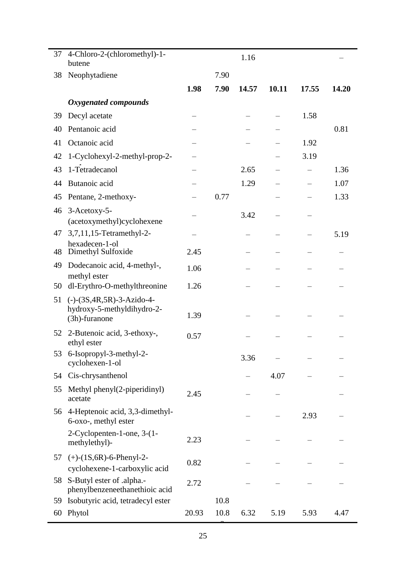| 37 | 4-Chloro-2-(chloromethyl)-1-                                |       |      |       |       |       |       |
|----|-------------------------------------------------------------|-------|------|-------|-------|-------|-------|
|    | butene                                                      |       |      | 1.16  |       |       |       |
| 38 | Neophytadiene                                               |       | 7.90 |       |       |       |       |
|    |                                                             | 1.98  | 7.90 | 14.57 | 10.11 | 17.55 | 14.20 |
|    | Oxygenated compounds                                        |       |      |       |       |       |       |
| 39 | Decyl acetate                                               |       |      |       |       | 1.58  |       |
| 40 | Pentanoic acid                                              |       |      |       |       |       | 0.81  |
| 41 | Octanoic acid                                               |       |      |       |       | 1.92  |       |
| 42 | 1-Cyclohexyl-2-methyl-prop-2-                               |       |      |       |       | 3.19  |       |
| 43 | 1-Tetradecanol                                              |       |      | 2.65  |       |       | 1.36  |
| 44 | Butanoic acid                                               |       |      | 1.29  |       |       | 1.07  |
| 45 | Pentane, 2-methoxy-                                         |       | 0.77 |       |       |       | 1.33  |
| 46 | 3-Acetoxy-5-                                                |       |      | 3.42  |       |       |       |
|    | (acetoxymethyl)cyclohexene                                  |       |      |       |       |       |       |
| 47 | 3,7,11,15-Tetramethyl-2-<br>hexadecen-1-ol                  |       |      |       |       |       | 5.19  |
| 48 | Dimethyl Sulfoxide                                          | 2.45  |      |       |       |       |       |
| 49 | Dodecanoic acid, 4-methyl-,                                 | 1.06  |      |       |       |       |       |
| 50 | methyl ester<br>dl-Erythro-O-methylthreonine                | 1.26  |      |       |       |       |       |
| 51 | $(-)$ - $(3S, 4R, 5R)$ -3-Azido-4-                          |       |      |       |       |       |       |
|    | hydroxy-5-methyldihydro-2-                                  | 1.39  |      |       |       |       |       |
|    | (3h)-furanone                                               |       |      |       |       |       |       |
| 52 | 2-Butenoic acid, 3-ethoxy-,<br>ethyl ester                  | 0.57  |      |       |       |       |       |
| 53 | 6-Isopropyl-3-methyl-2-<br>cyclohexen-1-ol                  |       |      | 3.36  |       |       |       |
| 54 | Cis-chrysanthenol                                           |       |      |       | 4.07  |       |       |
| 55 | Methyl phenyl(2-piperidinyl)<br>acetate                     | 2.45  |      |       |       |       |       |
| 56 | 4-Heptenoic acid, 3,3-dimethyl-<br>6-oxo-, methyl ester     |       |      |       |       | 2.93  |       |
|    | 2-Cyclopenten-1-one, 3-(1-<br>methylethyl)-                 | 2.23  |      |       |       |       |       |
| 57 | $(+)$ - $(1S, 6R)$ -6-Phenyl-2-                             |       |      |       |       |       |       |
|    | cyclohexene-1-carboxylic acid                               | 0.82  |      |       |       |       |       |
| 58 | S-Butyl ester of .alpha.-<br>phenylbenzeneethanethioic acid | 2.72  |      |       |       |       |       |
| 59 | Isobutyric acid, tetradecyl ester                           |       | 10.8 |       |       |       |       |
| 60 | Phytol                                                      | 20.93 | 10.8 | 6.32  | 5.19  | 5.93  | 4.47  |

**a**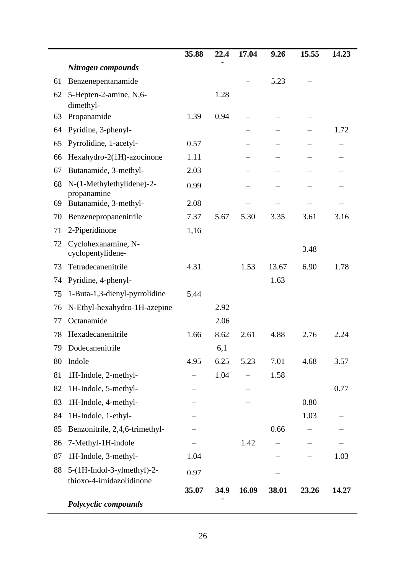|    |                                          | 35.88 | 22.4 | 17.04 | 9.26  | 15.55 | 14.23 |
|----|------------------------------------------|-------|------|-------|-------|-------|-------|
|    | Nitrogen compounds                       |       |      |       |       |       |       |
| 61 | Benzenepentanamide                       |       |      |       | 5.23  |       |       |
| 62 | 5-Hepten-2-amine, N,6-<br>dimethyl-      |       | 1.28 |       |       |       |       |
| 63 | Propanamide                              | 1.39  | 0.94 |       |       |       |       |
| 64 | Pyridine, 3-phenyl-                      |       |      |       |       |       | 1.72  |
| 65 | Pyrrolidine, 1-acetyl-                   | 0.57  |      |       |       |       |       |
| 66 | Hexahydro-2(1H)-azocinone                | 1.11  |      |       |       |       |       |
| 67 | Butanamide, 3-methyl-                    | 2.03  |      |       |       |       |       |
| 68 | N-(1-Methylethylidene)-2-<br>propanamine | 0.99  |      |       |       |       |       |
| 69 | Butanamide, 3-methyl-                    | 2.08  |      |       |       |       |       |
| 70 | Benzenepropanenitrile                    | 7.37  | 5.67 | 5.30  | 3.35  | 3.61  | 3.16  |
| 71 | 2-Piperidinone                           | 1,16  |      |       |       |       |       |
| 72 | Cyclohexanamine, N-<br>cyclopentylidene- |       |      |       |       | 3.48  |       |
| 73 | Tetradecanenitrile                       | 4.31  |      | 1.53  | 13.67 | 6.90  | 1.78  |
| 74 | Pyridine, 4-phenyl-                      |       |      |       | 1.63  |       |       |
| 75 | 1-Buta-1,3-dienyl-pyrrolidine            | 5.44  |      |       |       |       |       |
| 76 | N-Ethyl-hexahydro-1H-azepine             |       | 2.92 |       |       |       |       |
| 77 | Octanamide                               |       | 2.06 |       |       |       |       |
| 78 | Hexadecanenitrile                        | 1.66  | 8.62 | 2.61  | 4.88  | 2.76  | 2.24  |
| 79 | Dodecanenitrile                          |       | 6,1  |       |       |       |       |
| 80 | Indole                                   | 4.95  | 6.25 | 5.23  | 7.01  | 4.68  | 3.57  |
| 81 | 1H-Indole, 2-methyl-                     |       | 1.04 |       | 1.58  |       |       |
| 82 | 1H-Indole, 5-methyl-                     |       |      |       |       |       | 0.77  |
| 83 | 1H-Indole, 4-methyl-                     |       |      |       |       | 0.80  |       |
| 84 | 1H-Indole, 1-ethyl-                      |       |      |       |       | 1.03  |       |
| 85 | Benzonitrile, 2,4,6-trimethyl-           |       |      |       | 0.66  |       |       |
| 86 | 7-Methyl-1H-indole                       |       |      | 1.42  |       |       |       |
| 87 | 1H-Indole, 3-methyl-                     | 1.04  |      |       |       |       | 1.03  |
| 88 | 5-(1H-Indol-3-ylmethyl)-2-               | 0.97  |      |       |       |       |       |
|    | thioxo-4-imidazolidinone                 | 35.07 | 34.9 | 16.09 | 38.01 | 23.26 | 14.27 |
|    | Polycyclic compounds                     |       |      |       |       |       |       |